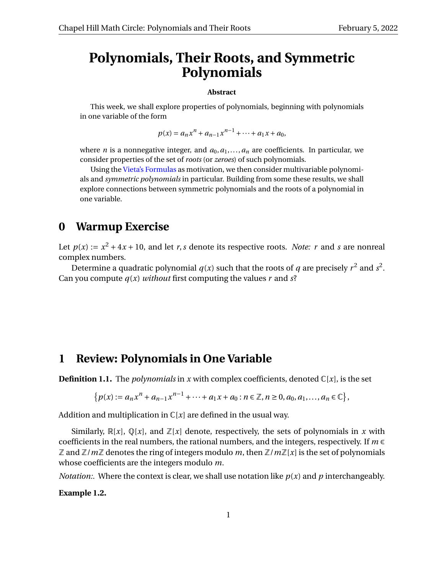## **Polynomials, Their Roots, and Symmetric Polynomials**

#### **Abstract**

This week, we shall explore properties of polynomials, beginning with polynomials in one variable of the form

$$
p(x) = a_n x^n + a_{n-1} x^{n-1} + \dots + a_1 x + a_0,
$$

where *n* is a nonnegative integer, and  $a_0, a_1, \ldots, a_n$  are coefficients. In particular, we consider properties of the set of *roots* (or *zeroes*) of such polynomials.

Using the [Vieta's Formulas](https://en.wikipedia.org/wiki/Vieta%27s_formulas) as motivation, we then consider multivariable polynomials and *symmetric polynomials* in particular. Building from some these results, we shall explore connections between symmetric polynomials and the roots of a polynomial in one variable.

### **0 Warmup Exercise**

Let  $p(x) := x^2 + 4x + 10$ , and let *r*, *s* denote its respective roots. *Note: r* and *s* are nonreal complex numbers.

Determine a quadratic polynomial  $q(x)$  such that the roots of  $q$  are precisely  $r^2$  and  $s^2$ . Can you compute  $q(x)$  *without* first computing the values r and  $s$ ?

### **1 Review: Polynomials in One Variable**

**Definition 1.1.** The *polynomials* in *x* with complex coefficients, denoted  $\mathbb{C}[x]$ , is the set

$$
\{p(x) := a_n x^n + a_{n-1} x^{n-1} + \cdots + a_1 x + a_0 : n \in \mathbb{Z}, n \ge 0, a_0, a_1, \ldots, a_n \in \mathbb{C}\},\
$$

Addition and multiplication in  $\mathbb{C}[x]$  are defined in the usual way.

Similarly,  $\mathbb{R}[x]$ ,  $\mathbb{Q}[x]$ , and  $\mathbb{Z}[x]$  denote, respectively, the sets of polynomials in x with coefficients in the real numbers, the rational numbers, and the integers, respectively. If *m* ∈  $\mathbb Z$  and  $\mathbb Z/m\mathbb Z$  denotes the ring of integers modulo m, then  $\mathbb Z/m\mathbb Z[x]$  is the set of polynomials whose coefficients are the integers modulo *m*.

*Notation:.* Where the context is clear, we shall use notation like  $p(x)$  and  $p$  interchangeably.

**Example 1.2.**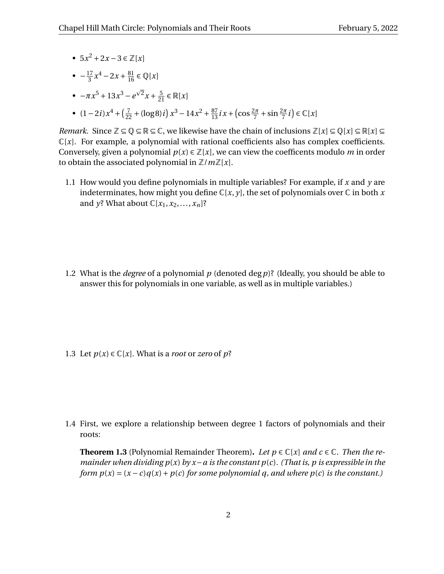- $5x^2 + 2x 3 \in \mathbb{Z}[x]$
- $\bullet -\frac{17}{3}$  $\frac{17}{3}x^4 - 2x + \frac{81}{16}$  ∈ ℚ[*x*]
- $-\pi x^5 + 13x^3 e$  $2x + \frac{5}{21} \in \mathbb{R}[x]$
- $(1-2i)x^4 + (\frac{7}{22} + (\log 8)i)x^3 14x^2 + \frac{87}{13}ix + (\cos \frac{2\pi}{7} + \sin \frac{2\pi}{7}i) \in \mathbb{C}[x]$

*Remark.* Since  $\mathbb{Z} \subseteq \mathbb{Q} \subseteq \mathbb{R} \subseteq \mathbb{C}$ , we likewise have the chain of inclusions  $\mathbb{Z}[x] \subseteq \mathbb{Q}[x] \subseteq \mathbb{R}[x] \subseteq \mathbb{R}$  $\mathbb{C}[x]$ . For example, a polynomial with rational coefficients also has complex coefficients. Conversely, given a polynomial  $p(x) \in \mathbb{Z}[x]$ , we can view the coefficents modulo *m* in order to obtain the associated polynomial in  $\mathbb{Z}/m\mathbb{Z}[x]$ .

1.1 How would you define polynomials in multiple variables? For example, if *x* and *y* are indeterminates, how might you define  $\mathbb{C}[x, y]$ , the set of polynomials over  $\mathbb C$  in both x and *y*? What about  $\mathbb{C}[x_1, x_2, \ldots, x_n]$ ?

1.2 What is the *degree* of a polynomial *p* (denoted deg*p*)? (Ideally, you should be able to answer this for polynomials in one variable, as well as in multiple variables.)

1.3 Let  $p(x) \in \mathbb{C}[x]$ . What is a *root* or *zero* of  $p$ ?

1.4 First, we explore a relationship between degree 1 factors of polynomials and their roots:

<span id="page-1-0"></span>**Theorem 1.3** (Polynomial Remainder Theorem). Let  $p \in \mathbb{C}[x]$  and  $c \in \mathbb{C}$ . Then the re*mainder when dividing p*(*x*) *by x*−*a is the constant p*(*c*)*. (That is, p is expressible in the form*  $p(x) = (x - c)q(x) + p(c)$  *for some polynomial q, and where*  $p(c)$  *is the constant.)*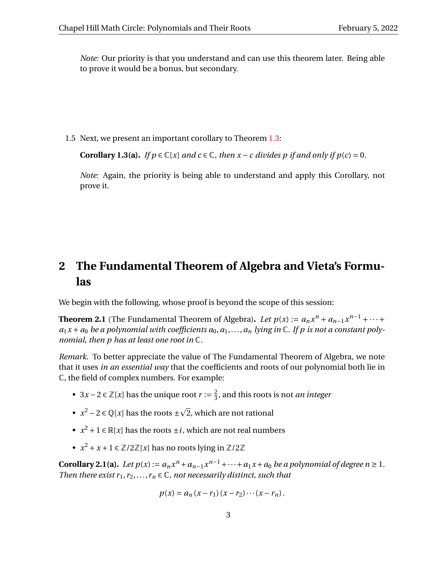*Note:* Our priority is that you understand and can use this theorem later. Being able to prove it would be a bonus, but secondary.

1.5 Next, we present an important corollary to Theorem [1.3:](#page-1-0)

**Corollary 1.3(a).** *If*  $p \in \mathbb{C}[x]$  *and*  $c \in \mathbb{C}$ *, then*  $x - c$  *divides*  $p$  *if and only if*  $p(c) = 0$ *.* 

*Note:* Again, the priority is being able to understand and apply this Corollary, not prove it.

# **2 The Fundamental Theorem of Algebra and Vieta's Formulas**

We begin with the following, whose proof is beyond the scope of this session:

**Theorem 2.1** (The Fundamental Theorem of Algebra). *Let*  $p(x) := a_n x^n + a_{n-1} x^{n-1} + \cdots$  $a_1x + a_0$  *be a polynomial with coefficients*  $a_0, a_1, \ldots, a_n$  *lying in*  $\mathbb C$ *. If p is not a constant polynomial, then p has at least one root in* C*.*

*Remark.* To better appreciate the value of The Fundamental Theorem of Algebra, we note that it uses *in an essential way* that the coefficients and roots of our polynomial both lie in C, the field of complex numbers. For example:

- $3x-2 \in \mathbb{Z}[x]$  has the unique root  $r := \frac{2}{3}$  $\frac{2}{3}$ , and this roots is not *an integer*
- $x^2 2 \in \mathbb{Q}[x]$  has the roots  $\pm$ p 2, which are not rational
- $x^2 + 1 \in \mathbb{R}[x]$  has the roots  $\pm i$ , which are not real numbers
- $x^2 + x + 1 \in \mathbb{Z}/2\mathbb{Z}[x]$  has no roots lying in  $\mathbb{Z}/2\mathbb{Z}$

**Corollary 2.1(a).** *Let*  $p(x) := a_n x^n + a_{n-1} x^{n-1} + \cdots + a_1 x + a_0$  *be a polynomial of degree*  $n \ge 1$ *. Then there exist*  $r_1, r_2, \ldots, r_n \in \mathbb{C}$ *, not necessarily distinct, such that* 

$$
p(x) = a_n (x - r_1) (x - r_2) \cdots (x - r_n).
$$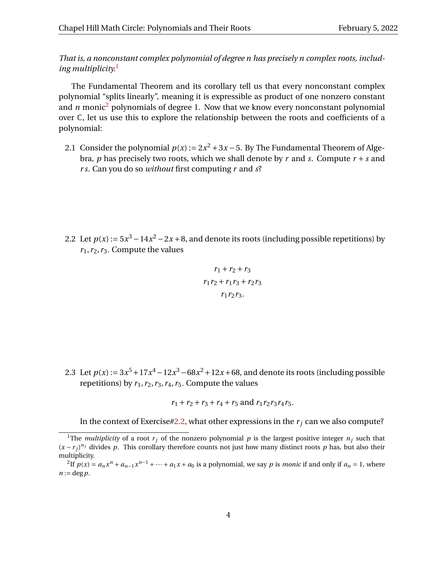*That is, a nonconstant complex polynomial of degree n has precisely n complex roots, including multiplicity.*[1](#page-3-0)

The Fundamental Theorem and its corollary tell us that every nonconstant complex polynomial "splits linearly", meaning it is expressible as product of one nonzero constant and  $n$  monic<sup>[2](#page-3-1)</sup> polynomials of degree 1. Now that we know every nonconstant polynomial over  $\mathbb C$ , let us use this to explore the relationship between the roots and coefficients of a polynomial:

2.1 Consider the polynomial  $p(x) := 2x^2 + 3x - 5$ . By The Fundamental Theorem of Algebra, *p* has precisely two roots, which we shall denote by *r* and *s*. Compute  $r + s$  and *r s*. Can you do so *without* first computing *r* and *s*?

<span id="page-3-2"></span>2.2 Let  $p(x) := 5x^3 - 14x^2 - 2x + 8$ , and denote its roots (including possible repetitions) by  $r_1, r_2, r_3$ . Compute the values

$$
r_1 + r_2 + r_3
$$

$$
r_1r_2 + r_1r_3 + r_2r_3
$$

$$
r_1r_2r_3.
$$

2.3 Let  $p(x) := 3x^5 + 17x^4 - 12x^3 - 68x^2 + 12x + 68$ , and denote its roots (including possible repetitions) by  $r_1$ ,  $r_2$ ,  $r_3$ ,  $r_4$ ,  $r_5$ . Compute the values

 $r_1 + r_2 + r_3 + r_4 + r_5$  and  $r_1r_2r_3r_4r_5$ .

In the context of Exercise[#2.2,](#page-3-2) what other expressions in the  $r_i$  can we also compute?

<span id="page-3-0"></span><sup>&</sup>lt;sup>1</sup>The *multiplicity* of a root  $r_j$  of the nonzero polynomial  $p$  is the largest positive integer  $n_j$  such that  $(x - r_j)^{n_j}$  divides *p*. This corollary therefore counts not just how many distinct roots *p* has, but also their multiplicity.

<span id="page-3-1"></span><sup>&</sup>lt;sup>2</sup>If  $p(x) = a_n x^n + a_{n-1} x^{n-1} + \cdots + a_1 x + a_0$  is a polynomial, we say p is *monic* if and only if  $a_n = 1$ , where  $n := \deg p$ .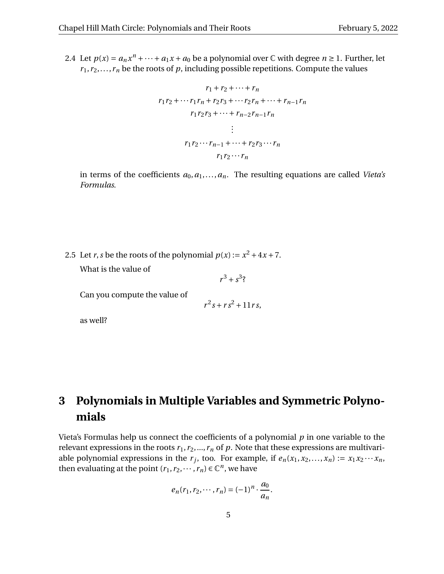<span id="page-4-0"></span>2.4 Let  $p(x) = a_n x^n + \cdots + a_1 x + a_0$  be a polynomial over  $\mathbb C$  with degree  $n \ge 1$ . Further, let  $r_1, r_2, \ldots, r_n$  be the roots of  $p$ , including possible repetitions. Compute the values

$$
r_{1} + r_{2} + \dots + r_{n}
$$
\n
$$
r_{1}r_{2} + \dots + r_{1}r_{n} + r_{2}r_{3} + \dots + r_{2}r_{n} + \dots + r_{n-1}r_{n}
$$
\n
$$
r_{1}r_{2}r_{3} + \dots + r_{n-2}r_{n-1}r_{n}
$$
\n
$$
\vdots
$$
\n
$$
r_{1}r_{2} \dots r_{n-1} + \dots + r_{2}r_{3} \dots r_{n}
$$
\n
$$
r_{1}r_{2} \dots r_{n}
$$

in terms of the coefficients  $a_0, a_1, \ldots, a_n$ . The resulting equations are called *Vieta's Formulas*.

2.5 Let *r*, *s* be the roots of the polynomial  $p(x) := x^2 + 4x + 7$ .

What is the value of

 $r^3 + s^3$ ?

Can you compute the value of

$$
r^2s + rs^2 + 11rs,
$$

as well?

# **3 Polynomials in Multiple Variables and Symmetric Polynomials**

Vieta's Formulas help us connect the coefficients of a polynomial *p* in one variable to the relevant expressions in the roots  $r_1, r_2, ..., r_n$  of  $p$ . Note that these expressions are multivariable polynomial expressions in the  $r_j$ , too. For example, if  $e_n(x_1, x_2,...,x_n) := x_1x_2 \cdots x_n$ , then evaluating at the point  $(r_1, r_2, \dots, r_n) \in \mathbb{C}^n$ , we have

$$
e_n(r_1, r_2, \cdots, r_n) = (-1)^n \cdot \frac{a_0}{a_n}.
$$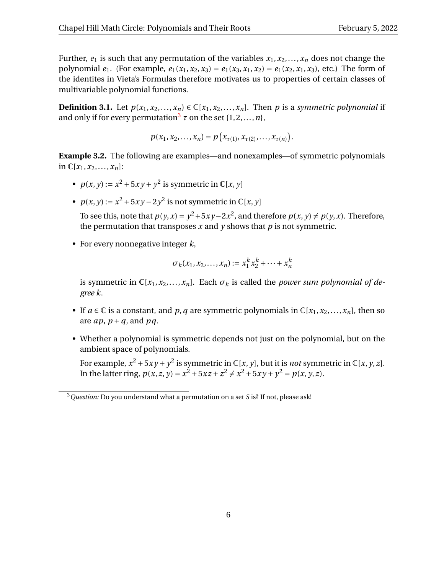Further,  $e_1$  is such that any permutation of the variables  $x_1, x_2, \ldots, x_n$  does not change the polynomial  $e_1$ . (For example,  $e_1(x_1, x_2, x_3) = e_1(x_3, x_1, x_2) = e_1(x_2, x_1, x_3)$ , etc.) The form of the identites in Vieta's Formulas therefore motivates us to properties of certain classes of multivariable polynomial functions.

**Definition 3.1.** Let  $p(x_1, x_2,...,x_n) \in \mathbb{C}[x_1, x_2,...,x_n]$ . Then *p* is a *symmetric polynomial* if and only if for every permutation<sup>[3](#page-5-0)</sup>  $\tau$  on the set  $\{1,2,\ldots,n\}$ ,

$$
p(x_1, x_2,..., x_n) = p(x_{\tau(1)}, x_{\tau(2)},..., x_{\tau(n)}).
$$

**Example 3.2.** The following are examples—and nonexamples—of symmetric polynomials in  $\mathbb{C}[x_1, x_2, ..., x_n]$ :

- $p(x, y) := x^2 + 5xy + y^2$  is symmetric in  $\mathbb{C}[x, y]$
- $p(x, y) := x^2 + 5xy 2y^2$  is not symmetric in  $\mathbb{C}[x, y]$

To see this, note that  $p(y, x) = y^2 + 5xy - 2x^2$ , and therefore  $p(x, y) \neq p(y, x)$ . Therefore, the permutation that transposes  $x$  and  $y$  shows that  $p$  is not symmetric.

• For every nonnegative integer *k*,

$$
\sigma_k(x_1, x_2, \dots, x_n) := x_1^k x_2^k + \dots + x_n^k
$$

is symmetric in  $\mathbb{C}[x_1, x_2, \ldots, x_n]$ . Each  $\sigma_k$  is called the *power sum polynomial of degree k*.

- If  $a \in \mathbb{C}$  is a constant, and  $p$ ,  $q$  are symmetric polynomials in  $\mathbb{C}[x_1, x_2, \ldots, x_n]$ , then so are  $ap$ ,  $p + q$ , and  $pq$ .
- Whether a polynomial is symmetric depends not just on the polynomial, but on the ambient space of polynomials.

For example,  $x^2 + 5xy + y^2$  is symmetric in  $\mathbb{C}[x, y]$ , but it is *not* symmetric in  $\mathbb{C}[x, y, z]$ . In the latter ring,  $p(x, z, y) = x^2 + 5xz + z^2 \neq x^2 + 5xy + y^2 = p(x, y, z)$ .

<span id="page-5-0"></span><sup>3</sup>*Question:* Do you understand what a permutation on a set *S* is? If not, please ask!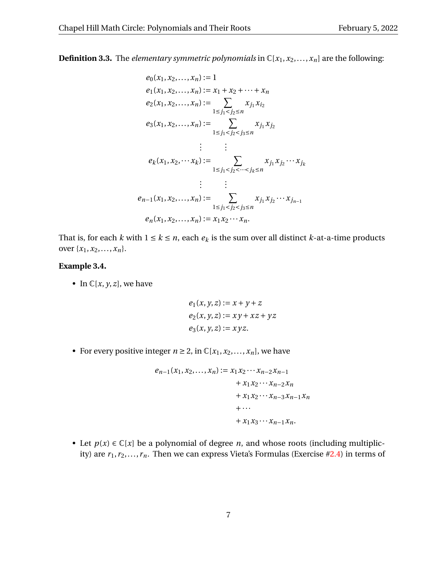$$
e_0(x_1, x_2, ..., x_n) := 1
$$
  
\n
$$
e_1(x_1, x_2, ..., x_n) := x_1 + x_2 + \cdots + x_n
$$
  
\n
$$
e_2(x_1, x_2, ..., x_n) := \sum_{1 \le j_1 < j_2 \le n} x_{j_1} x_{i_2}
$$
  
\n
$$
e_3(x_1, x_2, ..., x_n) := \sum_{1 \le j_1 < j_2 < j_3 \le n} x_{j_1} x_{j_2}
$$
  
\n
$$
\vdots \qquad \vdots
$$
  
\n
$$
e_k(x_1, x_2, \cdots x_k) := \sum_{1 \le j_1 < j_2 < \cdots < j_k \le n} x_{j_1} x_{j_2} \cdots x_{j_k}
$$
  
\n
$$
\vdots \qquad \vdots
$$
  
\n
$$
e_{n-1}(x_1, x_2, ..., x_n) := \sum_{1 \le j_1 < j_2 < j_3 \le n} x_{j_1} x_{j_2} \cdots x_{j_{n-1}}
$$
  
\n
$$
e_n(x_1, x_2, ..., x_n) := x_1 x_2 \cdots x_n.
$$

That is, for each *k* with  $1 \le k \le n$ , each  $e_k$  is the sum over all distinct *k*-at-a-time products over  $\{x_1, x_2, \ldots, x_n\}.$ 

#### **Example 3.4.**

• In  $\mathbb{C}[x, y, z]$ , we have

$$
e_1(x, y, z) := x + y + z
$$
  
\n
$$
e_2(x, y, z) := xy + xz + yz
$$
  
\n
$$
e_3(x, y, z) := xyz.
$$

• For every positive integer  $n \ge 2$ , in  $\mathbb{C}[x_1, x_2, \ldots, x_n]$ , we have

$$
e_{n-1}(x_1, x_2, ..., x_n) := x_1 x_2 \cdots x_{n-2} x_{n-1} + x_1 x_2 \cdots x_{n-2} x_n + x_1 x_2 \cdots x_{n-3} x_{n-1} x_n + \cdots + x_1 x_3 \cdots x_{n-1} x_n.
$$

• Let  $p(x) \in \mathbb{C}[x]$  be a polynomial of degree *n*, and whose roots (including multiplicity) are  $r_1, r_2, \ldots, r_n$ . Then we can express Vieta's Formulas (Exercise [#2.4\)](#page-4-0) in terms of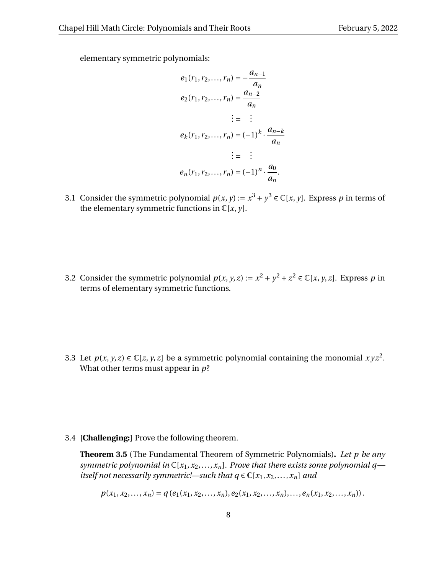elementary symmetric polynomials:

$$
e_1(r_1, r_2, ..., r_n) = -\frac{a_{n-1}}{a_n}
$$
  
\n
$$
e_2(r_1, r_2, ..., r_n) = \frac{a_{n-2}}{a_n}
$$
  
\n
$$
\vdots = \vdots
$$
  
\n
$$
e_k(r_1, r_2, ..., r_n) = (-1)^k \cdot \frac{a_{n-k}}{a_n}
$$
  
\n
$$
\vdots = \vdots
$$
  
\n
$$
e_n(r_1, r_2, ..., r_n) = (-1)^n \cdot \frac{a_0}{a_n}.
$$

3.1 Consider the symmetric polynomial  $p(x, y) := x^3 + y^3 \in \mathbb{C}[x, y]$ . Express *p* in terms of the elementary symmetric functions in  $\mathbb{C}[x, y]$ .

3.2 Consider the symmetric polynomial  $p(x, y, z) := x^2 + y^2 + z^2 \in \mathbb{C}[x, y, z]$ . Express *p* in terms of elementary symmetric functions.

3.3 Let  $p(x, y, z) \in \mathbb{C}[z, y, z]$  be a symmetric polynomial containing the monomial  $xyz^2$ . What other terms must appear in *p*?

3.4 **[Challenging:]** Prove the following theorem.

**Theorem 3.5** (The Fundamental Theorem of Symmetric Polynomials)**.** *Let p be any symmetric polynomial in* C[*x*1,*x*2,...,*xn*]*. Prove that there exists some polynomial q itself not necessarily symmetric!—such that*  $q \in \mathbb{C}[x_1, x_2, \ldots, x_n]$  *and* 

 $p(x_1, x_2,..., x_n) = q(e_1(x_1, x_2,..., x_n), e_2(x_1, x_2,..., x_n),..., e_n(x_1, x_2,..., x_n)).$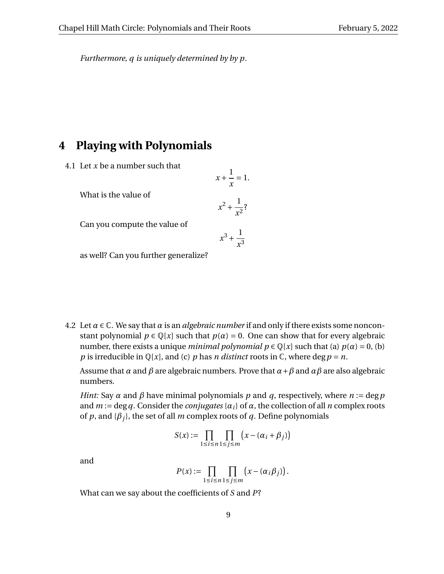*Furthermore, q is uniquely determined by by p.*

### **4 Playing with Polynomials**

4.1 Let *x* be a number such that

What is the value of

Can you compute the value of

$$
x^{2} + \frac{1}{x^{2}}
$$

$$
x^{3} + \frac{1}{x^{3}}
$$

 $x + \frac{1}{x}$ *x*  $= 1.$ 

as well? Can you further generalize?

4.2 Let  $\alpha \in \mathbb{C}$ . We say that  $\alpha$  is an *algebraic number* if and only if there exists some nonconstant polynomial  $p \in \mathbb{Q}[x]$  such that  $p(\alpha) = 0$ . One can show that for every algebraic number, there exists a unique *minimal polynomial*  $p \in \mathbb{Q}[x]$  such that (a)  $p(\alpha) = 0$ , (b) *p* is irreducible in  $\mathbb{Q}[x]$ , and (c) *p* has *n* distinct roots in  $\mathbb{C}$ , where deg *p* = *n*.

Assume that *α* and *β* are algebraic numbers. Prove that *α*+*β* and *αβ* are also algebraic numbers.

*Hint:* Say *α* and *β* have minimal polynomials *p* and *q*, respectively, where *n* := deg*p* and  $m := \deg q$ . Consider the *conjugates* { $\alpha_i$ } of  $\alpha$ , the collection of all *n* complex roots of  $p$ , and  ${\beta_i}$ , the set of all  $m$  complex roots of  $q$ . Define polynomials

$$
S(x) := \prod_{1 \le i \le n} \prod_{1 \le j \le m} \left( x - (\alpha_i + \beta_j) \right)
$$

and

$$
P(x) := \prod_{1 \leq i \leq n} \prod_{1 \leq j \leq m} \left( x - (\alpha_i \beta_j) \right).
$$

What can we say about the coefficients of *S* and *P*?